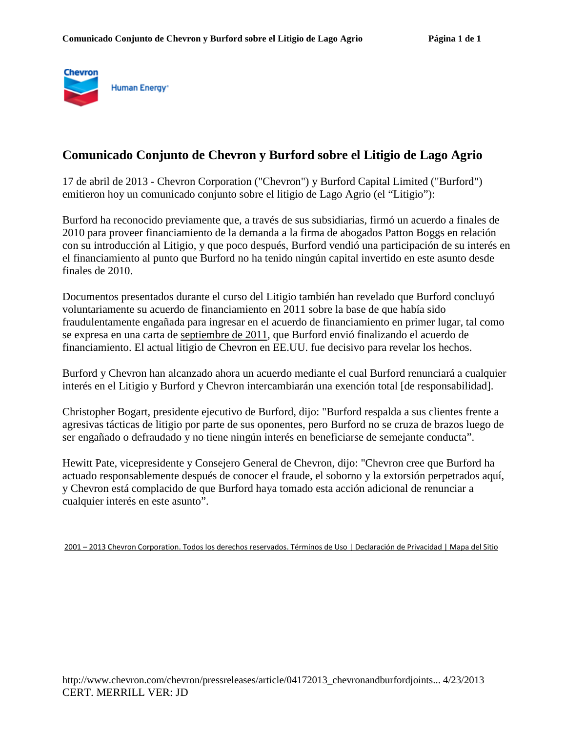

## **Comunicado Conjunto de Chevron y Burford sobre el Litigio de Lago Agrio**

17 de abril de 2013 - Chevron Corporation ("Chevron") y Burford Capital Limited ("Burford") emitieron hoy un comunicado conjunto sobre el litigio de Lago Agrio (el "Litigio"):

Burford ha reconocido previamente que, a través de sus subsidiarias, firmó un acuerdo a finales de 2010 para proveer financiamiento de la demanda a la firma de abogados Patton Boggs en relación con su introducción al Litigio, y que poco después, Burford vendió una participación de su interés en el financiamiento al punto que Burford no ha tenido ningún capital invertido en este asunto desde finales de 2010.

Documentos presentados durante el curso del Litigio también han revelado que Burford concluyó voluntariamente su acuerdo de financiamiento en 2011 sobre la base de que había sido fraudulentamente engañada para ingresar en el acuerdo de financiamiento en primer lugar, tal como se expresa en una carta de septiembre de 2011, que Burford envió finalizando el acuerdo de financiamiento. El actual litigio de Chevron en EE.UU. fue decisivo para revelar los hechos.

Burford y Chevron han alcanzado ahora un acuerdo mediante el cual Burford renunciará a cualquier interés en el Litigio y Burford y Chevron intercambiarán una exención total [de responsabilidad].

Christopher Bogart, presidente ejecutivo de Burford, dijo: "Burford respalda a sus clientes frente a agresivas tácticas de litigio por parte de sus oponentes, pero Burford no se cruza de brazos luego de ser engañado o defraudado y no tiene ningún interés en beneficiarse de semejante conducta".

Hewitt Pate, vicepresidente y Consejero General de Chevron, dijo: "Chevron cree que Burford ha actuado responsablemente después de conocer el fraude, el soborno y la extorsión perpetrados aquí, y Chevron está complacido de que Burford haya tomado esta acción adicional de renunciar a cualquier interés en este asunto".

2001 – 2013 Chevron Corporation. Todos los derechos reservados. Términos de Uso | Declaración de Privacidad | Mapa del Sitio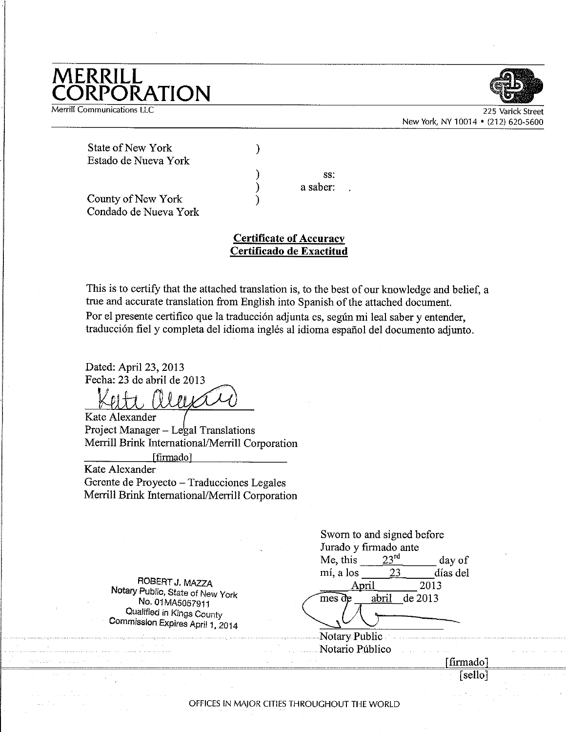## **MERRILL<br>CORPORATION**

Merrill Communications LLC



225 New York, NY 10014 . (212) 620-5600

**State of New York** Estado de Nueva York

> SS. a saber:

County of New York Condado de Nueva York

## **Certificate of Accuracy** Certificado de Exactitud

 $\mathcal{E}$ 

 $\lambda$ 

 $\mathcal{E}$ 

℩

This is to certify that the attached translation is, to the best of our knowledge and belief, a true and accurate translation from English into Spanish of the attached document. Por el presente certifico que la traducción adjunta es, según mi leal saber y entender, traducción fiel y completa del idioma inglés al idioma español del documento adjunto.

Dated: April 23, 2013 Fecha: 23 de abril de 2013

 $\sqrt{N}$ 

Kate Alexander Project Manager – Legal Translations Merrill Brink International/Merrill Corporation

[firmado] Kate Alexander

Gerente de Proyecto - Traducciones Legales Merrill Brink International/Merrill Corporation

| Jurado y firmado ante |  |
|-----------------------|--|
|                       |  |
|                       |  |
| 2013                  |  |
|                       |  |
|                       |  |
|                       |  |
|                       |  |
| [firmado]             |  |
|                       |  |
|                       |  |

OFFICES IN MAJOR CITIES THROUGHOUT THE WORLD